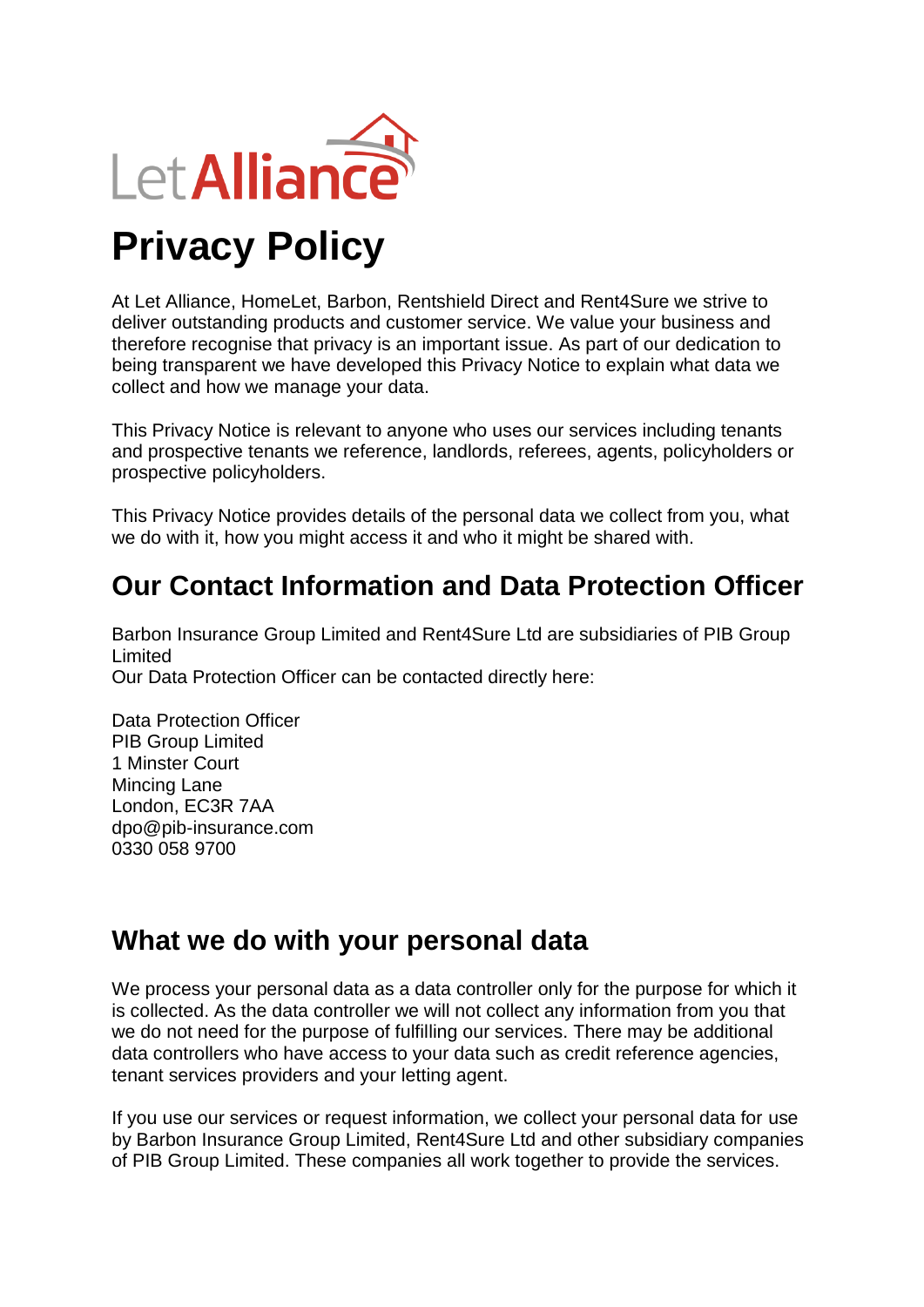

At Let Alliance, HomeLet, Barbon, Rentshield Direct and Rent4Sure we strive to deliver outstanding products and customer service. We value your business and therefore recognise that privacy is an important issue. As part of our dedication to being transparent we have developed this Privacy Notice to explain what data we collect and how we manage your data.

This Privacy Notice is relevant to anyone who uses our services including tenants and prospective tenants we reference, landlords, referees, agents, policyholders or prospective policyholders.

This Privacy Notice provides details of the personal data we collect from you, what we do with it, how you might access it and who it might be shared with.

## **Our Contact Information and Data Protection Officer**

Barbon Insurance Group Limited and Rent4Sure Ltd are subsidiaries of PIB Group Limited Our Data Protection Officer can be contacted directly here:

Data Protection Officer PIB Group Limited 1 Minster Court Mincing Lane London, EC3R 7AA dpo@pib-insurance.com 0330 058 9700

## **What we do with your personal data**

We process your personal data as a data controller only for the purpose for which it is collected. As the data controller we will not collect any information from you that we do not need for the purpose of fulfilling our services. There may be additional data controllers who have access to your data such as credit reference agencies, tenant services providers and your letting agent.

If you use our services or request information, we collect your personal data for use by Barbon Insurance Group Limited, Rent4Sure Ltd and other subsidiary companies of PIB Group Limited. These companies all work together to provide the services.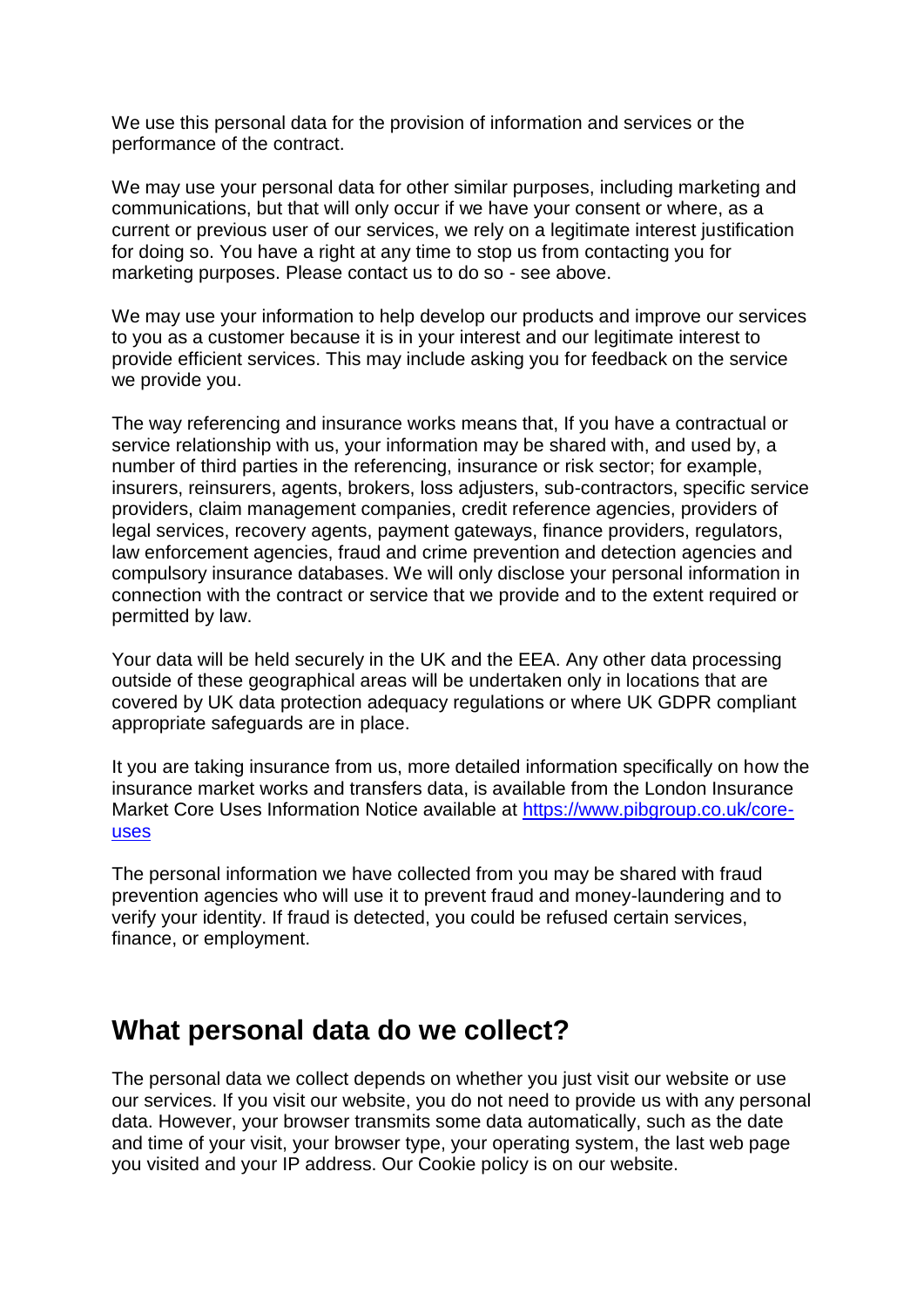We use this personal data for the provision of information and services or the performance of the contract.

We may use your personal data for other similar purposes, including marketing and communications, but that will only occur if we have your consent or where, as a current or previous user of our services, we rely on a legitimate interest justification for doing so. You have a right at any time to stop us from contacting you for marketing purposes. Please contact us to do so - see above.

We may use your information to help develop our products and improve our services to you as a customer because it is in your interest and our legitimate interest to provide efficient services. This may include asking you for feedback on the service we provide you.

The way referencing and insurance works means that, If you have a contractual or service relationship with us, your information may be shared with, and used by, a number of third parties in the referencing, insurance or risk sector; for example, insurers, reinsurers, agents, brokers, loss adjusters, sub-contractors, specific service providers, claim management companies, credit reference agencies, providers of legal services, recovery agents, payment gateways, finance providers, regulators, law enforcement agencies, fraud and crime prevention and detection agencies and compulsory insurance databases. We will only disclose your personal information in connection with the contract or service that we provide and to the extent required or permitted by law.

Your data will be held securely in the UK and the EEA. Any other data processing outside of these geographical areas will be undertaken only in locations that are covered by UK data protection adequacy regulations or where UK GDPR compliant appropriate safeguards are in place.

It you are taking insurance from us, more detailed information specifically on how the insurance market works and transfers data, is available from the London Insurance Market Core Uses Information Notice available at [https://www.pibgroup.co.uk/core](https://www.pibgroup.co.uk/core-uses)[uses](https://www.pibgroup.co.uk/core-uses)

The personal information we have collected from you may be shared with fraud prevention agencies who will use it to prevent fraud and money-laundering and to verify your identity. If fraud is detected, you could be refused certain services, finance, or employment.

### **What personal data do we collect?**

The personal data we collect depends on whether you just visit our website or use our services. If you visit our website, you do not need to provide us with any personal data. However, your browser transmits some data automatically, such as the date and time of your visit, your browser type, your operating system, the last web page you visited and your IP address. Our Cookie policy is on our website.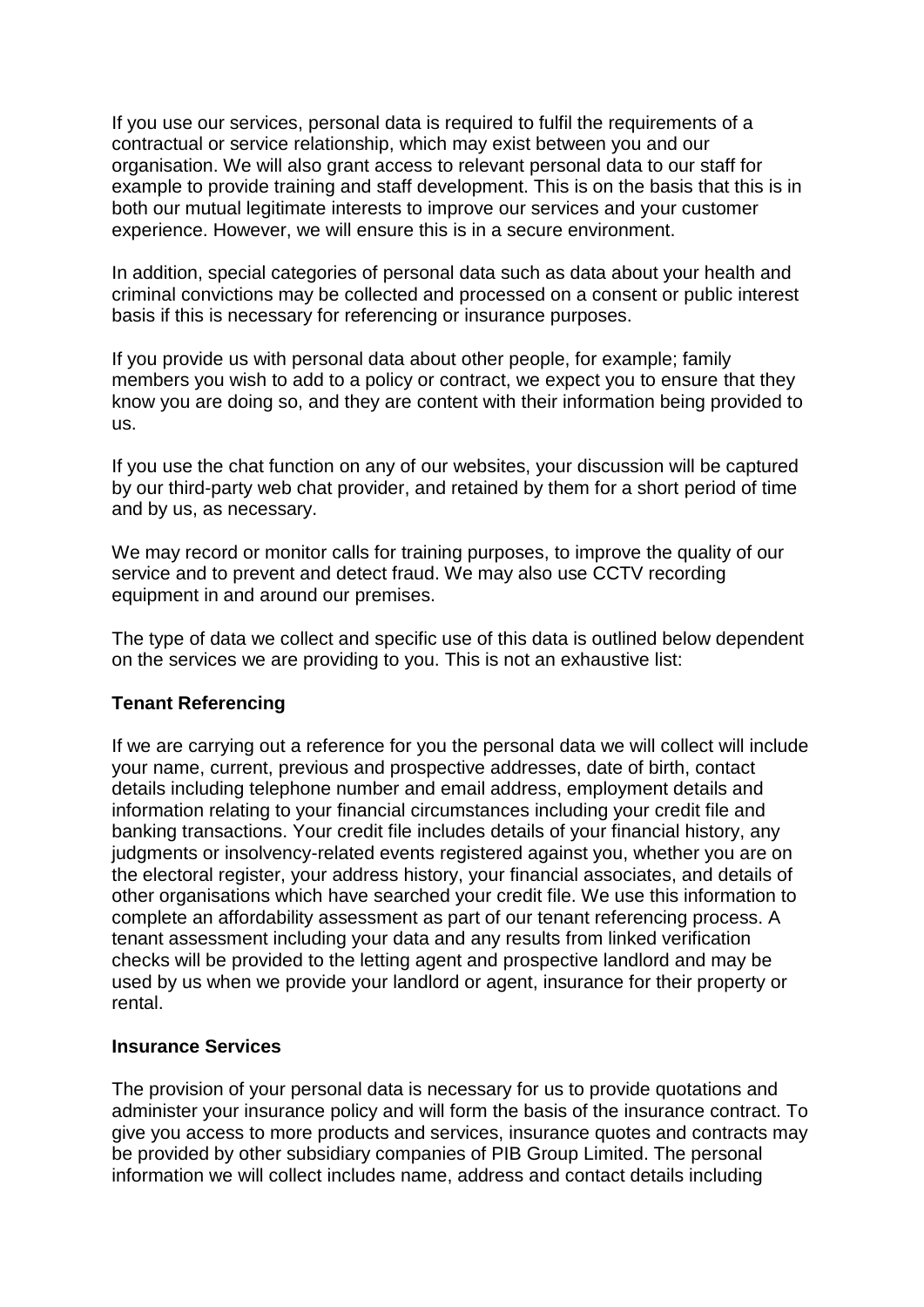If you use our services, personal data is required to fulfil the requirements of a contractual or service relationship, which may exist between you and our organisation. We will also grant access to relevant personal data to our staff for example to provide training and staff development. This is on the basis that this is in both our mutual legitimate interests to improve our services and your customer experience. However, we will ensure this is in a secure environment.

In addition, special categories of personal data such as data about your health and criminal convictions may be collected and processed on a consent or public interest basis if this is necessary for referencing or insurance purposes.

If you provide us with personal data about other people, for example; family members you wish to add to a policy or contract, we expect you to ensure that they know you are doing so, and they are content with their information being provided to us.

If you use the chat function on any of our websites, your discussion will be captured by our third-party web chat provider, and retained by them for a short period of time and by us, as necessary.

We may record or monitor calls for training purposes, to improve the quality of our service and to prevent and detect fraud. We may also use CCTV recording equipment in and around our premises.

The type of data we collect and specific use of this data is outlined below dependent on the services we are providing to you. This is not an exhaustive list:

#### **Tenant Referencing**

If we are carrying out a reference for you the personal data we will collect will include your name, current, previous and prospective addresses, date of birth, contact details including telephone number and email address, employment details and information relating to your financial circumstances including your credit file and banking transactions. Your credit file includes details of your financial history, any judgments or insolvency-related events registered against you, whether you are on the electoral register, your address history, your financial associates, and details of other organisations which have searched your credit file. We use this information to complete an affordability assessment as part of our tenant referencing process. A tenant assessment including your data and any results from linked verification checks will be provided to the letting agent and prospective landlord and may be used by us when we provide your landlord or agent, insurance for their property or rental.

#### **Insurance Services**

The provision of your personal data is necessary for us to provide quotations and administer your insurance policy and will form the basis of the insurance contract. To give you access to more products and services, insurance quotes and contracts may be provided by other subsidiary companies of PIB Group Limited. The personal information we will collect includes name, address and contact details including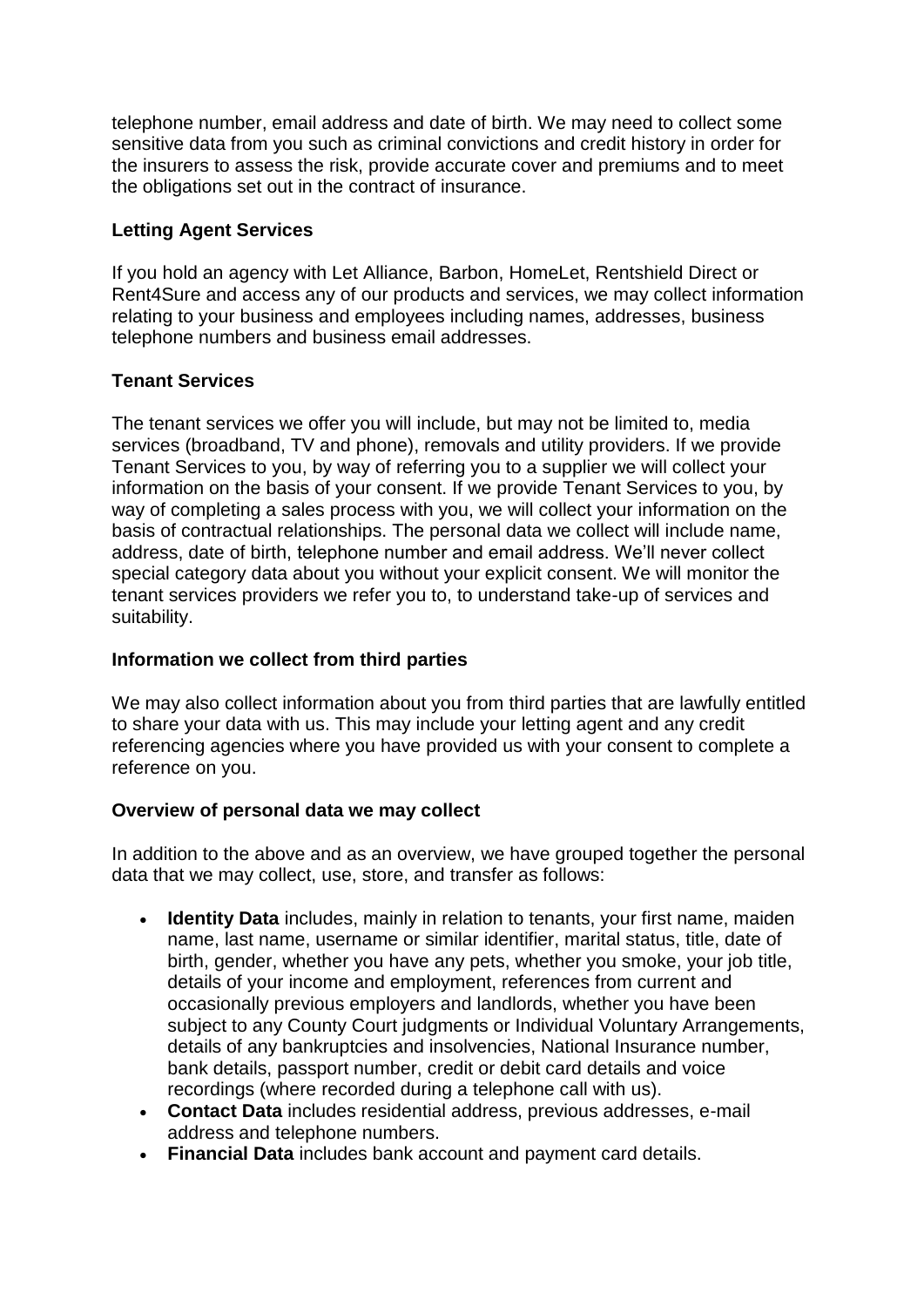telephone number, email address and date of birth. We may need to collect some sensitive data from you such as criminal convictions and credit history in order for the insurers to assess the risk, provide accurate cover and premiums and to meet the obligations set out in the contract of insurance.

#### **Letting Agent Services**

If you hold an agency with Let Alliance, Barbon, HomeLet, Rentshield Direct or Rent4Sure and access any of our products and services, we may collect information relating to your business and employees including names, addresses, business telephone numbers and business email addresses.

#### **Tenant Services**

The tenant services we offer you will include, but may not be limited to, media services (broadband, TV and phone), removals and utility providers. If we provide Tenant Services to you, by way of referring you to a supplier we will collect your information on the basis of your consent. If we provide Tenant Services to you, by way of completing a sales process with you, we will collect your information on the basis of contractual relationships. The personal data we collect will include name, address, date of birth, telephone number and email address. We'll never collect special category data about you without your explicit consent. We will monitor the tenant services providers we refer you to, to understand take-up of services and suitability.

#### **Information we collect from third parties**

We may also collect information about you from third parties that are lawfully entitled to share your data with us. This may include your letting agent and any credit referencing agencies where you have provided us with your consent to complete a reference on you.

#### **Overview of personal data we may collect**

In addition to the above and as an overview, we have grouped together the personal data that we may collect, use, store, and transfer as follows:

- **Identity Data** includes, mainly in relation to tenants, your first name, maiden name, last name, username or similar identifier, marital status, title, date of birth, gender, whether you have any pets, whether you smoke, your job title, details of your income and employment, references from current and occasionally previous employers and landlords, whether you have been subject to any County Court judgments or Individual Voluntary Arrangements, details of any bankruptcies and insolvencies, National Insurance number, bank details, passport number, credit or debit card details and voice recordings (where recorded during a telephone call with us).
- **Contact Data** includes residential address, previous addresses, e-mail address and telephone numbers.
- **Financial Data** includes bank account and payment card details.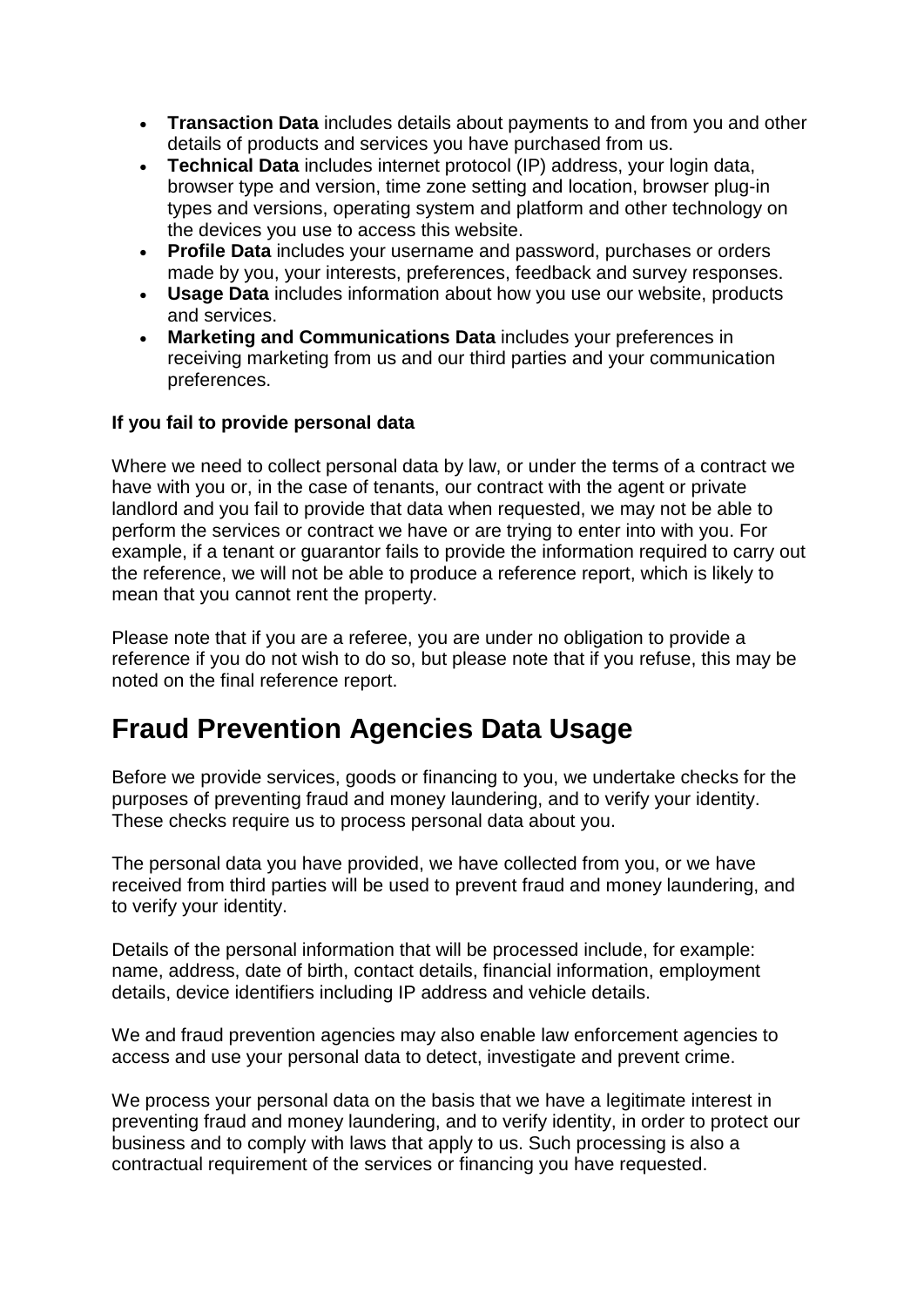- **Transaction Data** includes details about payments to and from you and other details of products and services you have purchased from us.
- **Technical Data** includes internet protocol (IP) address, your login data, browser type and version, time zone setting and location, browser plug-in types and versions, operating system and platform and other technology on the devices you use to access this website.
- **Profile Data** includes your username and password, purchases or orders made by you, your interests, preferences, feedback and survey responses.
- **Usage Data** includes information about how you use our website, products and services.
- **Marketing and Communications Data** includes your preferences in receiving marketing from us and our third parties and your communication preferences.

#### **If you fail to provide personal data**

Where we need to collect personal data by law, or under the terms of a contract we have with you or, in the case of tenants, our contract with the agent or private landlord and you fail to provide that data when requested, we may not be able to perform the services or contract we have or are trying to enter into with you. For example, if a tenant or guarantor fails to provide the information required to carry out the reference, we will not be able to produce a reference report, which is likely to mean that you cannot rent the property.

Please note that if you are a referee, you are under no obligation to provide a reference if you do not wish to do so, but please note that if you refuse, this may be noted on the final reference report.

# **Fraud Prevention Agencies Data Usage**

Before we provide services, goods or financing to you, we undertake checks for the purposes of preventing fraud and money laundering, and to verify your identity. These checks require us to process personal data about you.

The personal data you have provided, we have collected from you, or we have received from third parties will be used to prevent fraud and money laundering, and to verify your identity.

Details of the personal information that will be processed include, for example: name, address, date of birth, contact details, financial information, employment details, device identifiers including IP address and vehicle details.

We and fraud prevention agencies may also enable law enforcement agencies to access and use your personal data to detect, investigate and prevent crime.

We process your personal data on the basis that we have a legitimate interest in preventing fraud and money laundering, and to verify identity, in order to protect our business and to comply with laws that apply to us. Such processing is also a contractual requirement of the services or financing you have requested.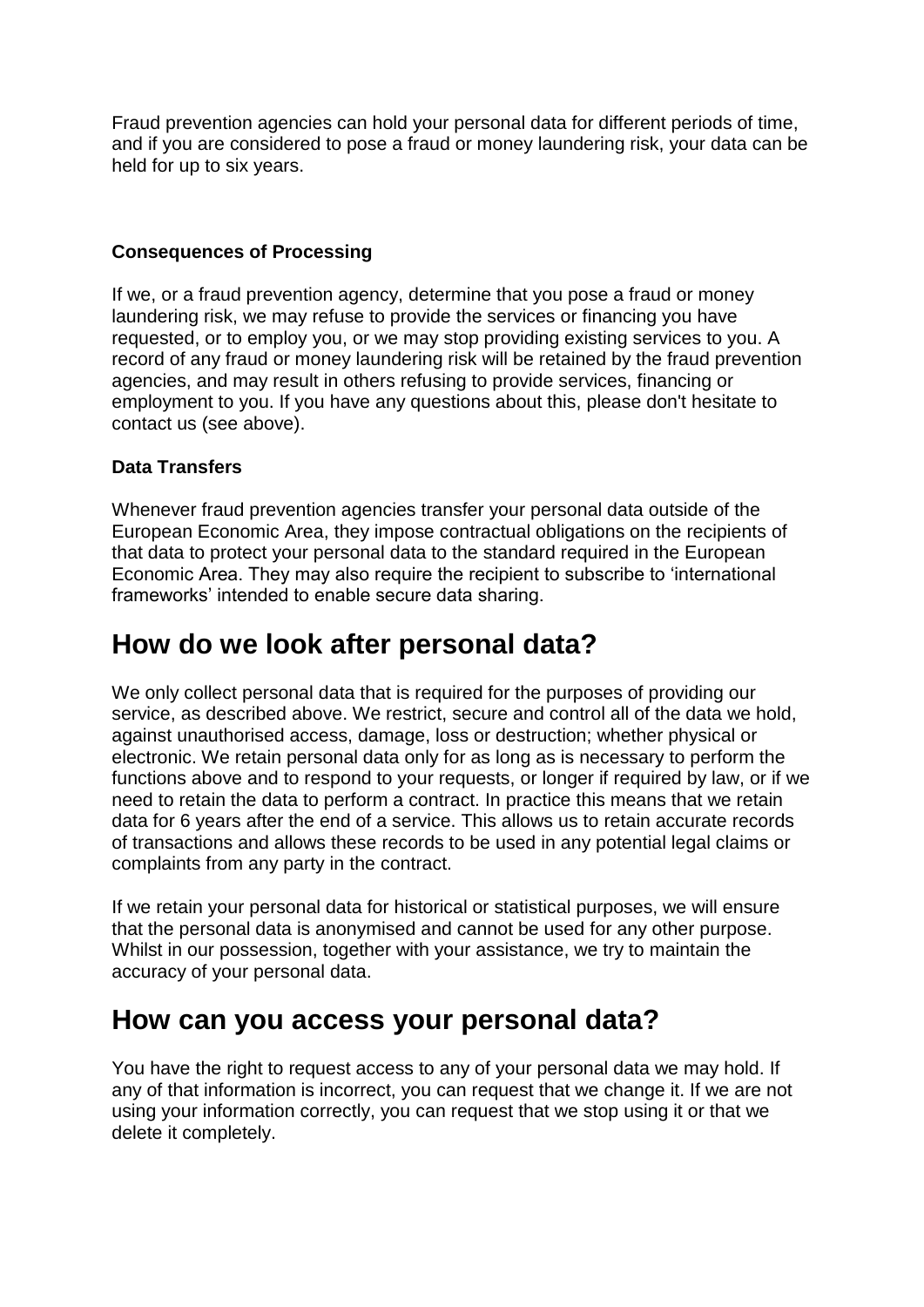Fraud prevention agencies can hold your personal data for different periods of time, and if you are considered to pose a fraud or money laundering risk, your data can be held for up to six years.

#### **Consequences of Processing**

If we, or a fraud prevention agency, determine that you pose a fraud or money laundering risk, we may refuse to provide the services or financing you have requested, or to employ you, or we may stop providing existing services to you. A record of any fraud or money laundering risk will be retained by the fraud prevention agencies, and may result in others refusing to provide services, financing or employment to you. If you have any questions about this, please don't hesitate to contact us (see above).

#### **Data Transfers**

Whenever fraud prevention agencies transfer your personal data outside of the European Economic Area, they impose contractual obligations on the recipients of that data to protect your personal data to the standard required in the European Economic Area. They may also require the recipient to subscribe to 'international frameworks' intended to enable secure data sharing.

### **How do we look after personal data?**

We only collect personal data that is required for the purposes of providing our service, as described above. We restrict, secure and control all of the data we hold, against unauthorised access, damage, loss or destruction; whether physical or electronic. We retain personal data only for as long as is necessary to perform the functions above and to respond to your requests, or longer if required by law, or if we need to retain the data to perform a contract. In practice this means that we retain data for 6 years after the end of a service. This allows us to retain accurate records of transactions and allows these records to be used in any potential legal claims or complaints from any party in the contract.

If we retain your personal data for historical or statistical purposes, we will ensure that the personal data is anonymised and cannot be used for any other purpose. Whilst in our possession, together with your assistance, we try to maintain the accuracy of your personal data.

### **How can you access your personal data?**

You have the right to request access to any of your personal data we may hold. If any of that information is incorrect, you can request that we change it. If we are not using your information correctly, you can request that we stop using it or that we delete it completely.